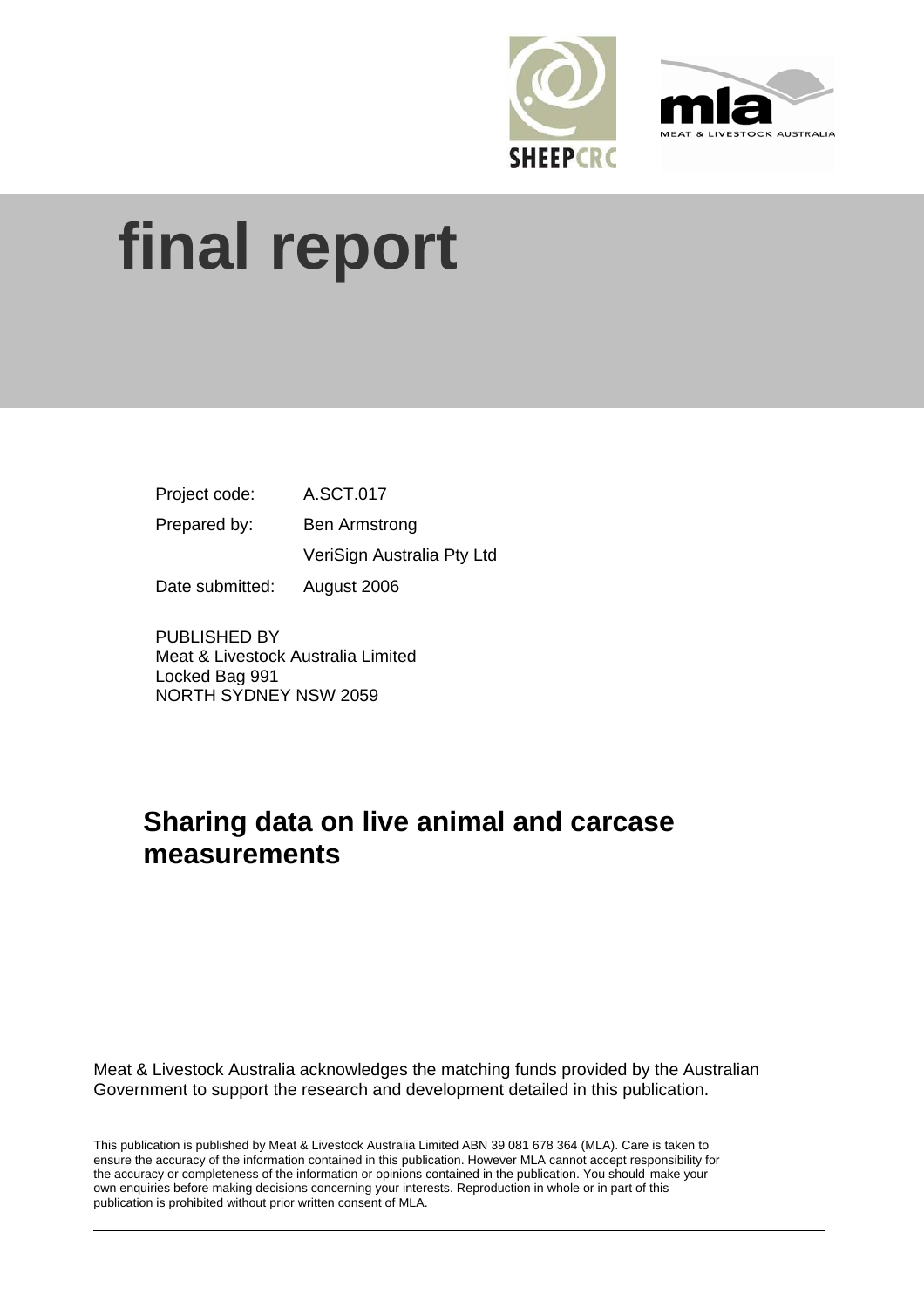



# **final report**

| Project code:   | A.SCT.017                  |
|-----------------|----------------------------|
| Prepared by:    | <b>Ben Armstrong</b>       |
|                 | VeriSign Australia Pty Ltd |
| Date submitted: | August 2006                |

PUBLISHED BY Meat & Livestock Australia Limited Locked Bag 991 NORTH SYDNEY NSW 2059

# **Sharing data on live animal and carcase measurements**

Meat & Livestock Australia acknowledges the matching funds provided by the Australian Government to support the research and development detailed in this publication.

This publication is published by Meat & Livestock Australia Limited ABN 39 081 678 364 (MLA). Care is taken to ensure the accuracy of the information contained in this publication. However MLA cannot accept responsibility for the accuracy or completeness of the information or opinions contained in the publication. You should make your own enquiries before making decisions concerning your interests. Reproduction in whole or in part of this publication is prohibited without prior written consent of MLA.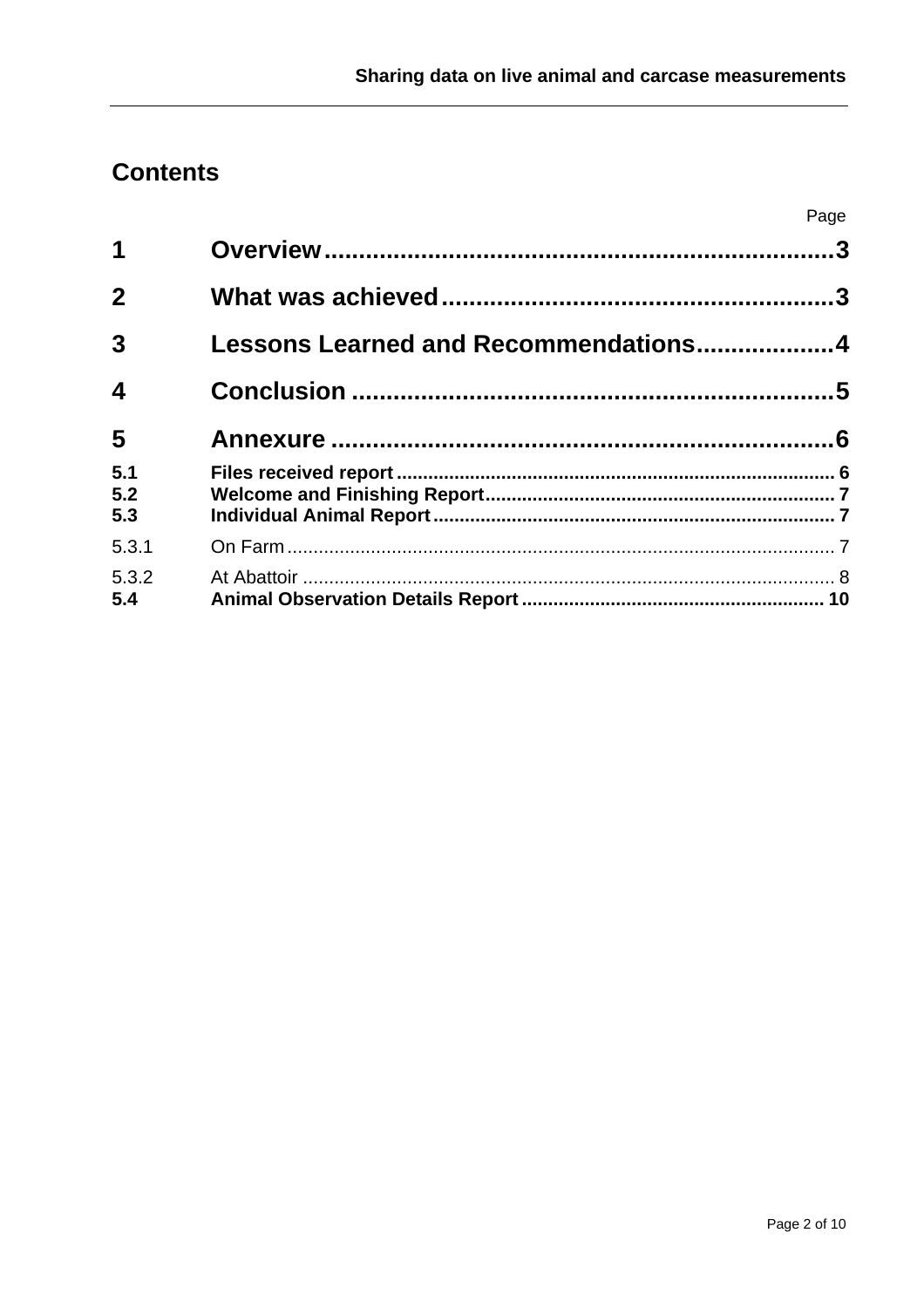# **Contents**

|                         |                                      | Page |
|-------------------------|--------------------------------------|------|
| 1                       |                                      |      |
| $\mathbf{2}$            |                                      |      |
| $\mathbf{3}$            | Lessons Learned and Recommendations4 |      |
| $\overline{\mathbf{4}}$ |                                      |      |
| 5                       |                                      |      |
| 5.1<br>5.2<br>5.3       |                                      |      |
| 5.3.1                   |                                      |      |
| 5.3.2<br>5.4            |                                      |      |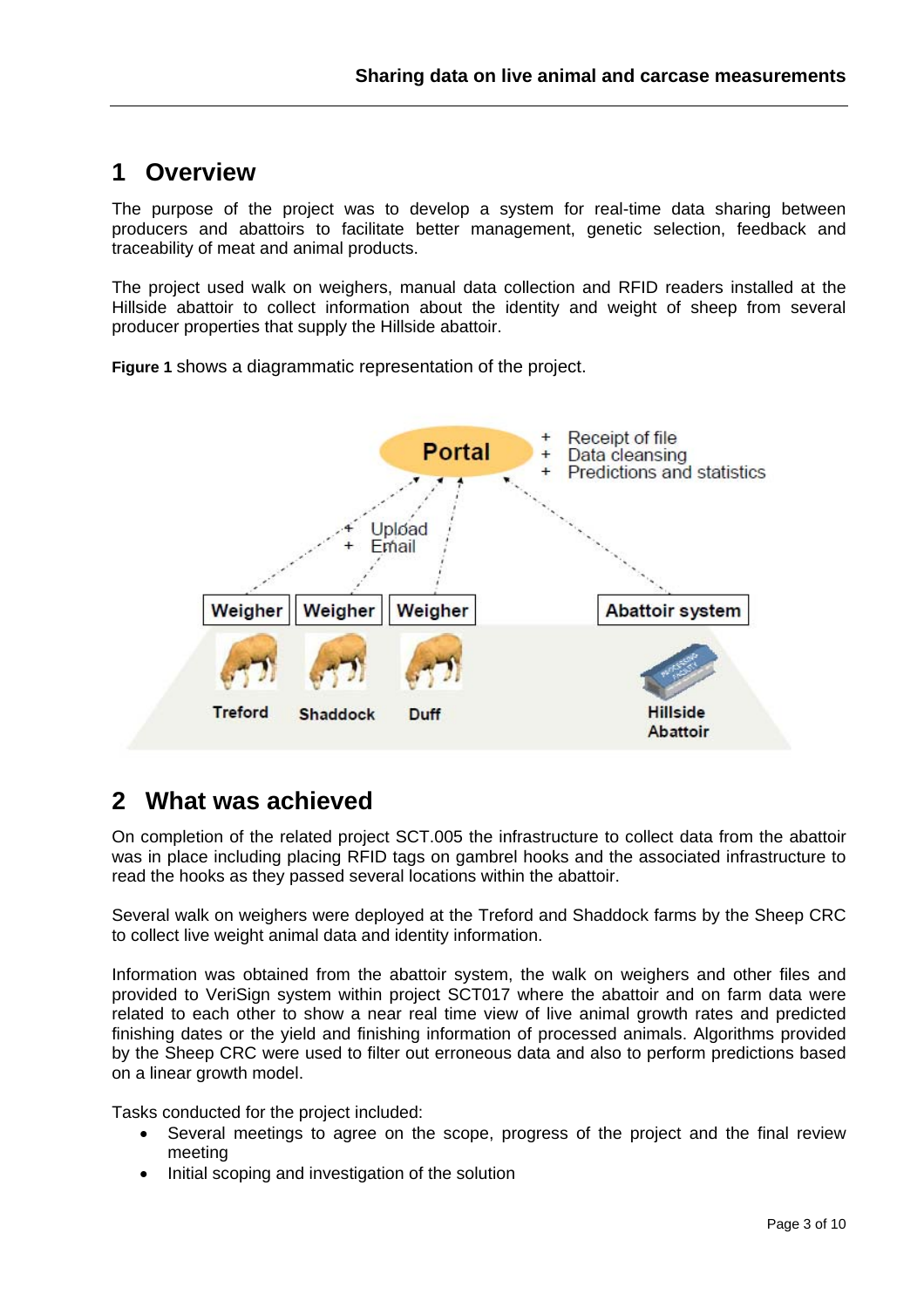## **1 Overview**

The purpose of the project was to develop a system for real-time data sharing between producers and abattoirs to facilitate better management, genetic selection, feedback and traceability of meat and animal products.

The project used walk on weighers, manual data collection and RFID readers installed at the Hillside abattoir to collect information about the identity and weight of sheep from several producer properties that supply the Hillside abattoir.

**Figure 1** shows a diagrammatic representation of the project.



### **2 What was achieved**

On completion of the related project SCT.005 the infrastructure to collect data from the abattoir was in place including placing RFID tags on gambrel hooks and the associated infrastructure to read the hooks as they passed several locations within the abattoir.

Several walk on weighers were deployed at the Treford and Shaddock farms by the Sheep CRC to collect live weight animal data and identity information.

Information was obtained from the abattoir system, the walk on weighers and other files and provided to VeriSign system within project SCT017 where the abattoir and on farm data were related to each other to show a near real time view of live animal growth rates and predicted finishing dates or the yield and finishing information of processed animals. Algorithms provided by the Sheep CRC were used to filter out erroneous data and also to perform predictions based on a linear growth model.

Tasks conducted for the project included:

- Several meetings to agree on the scope, progress of the project and the final review meeting
- Initial scoping and investigation of the solution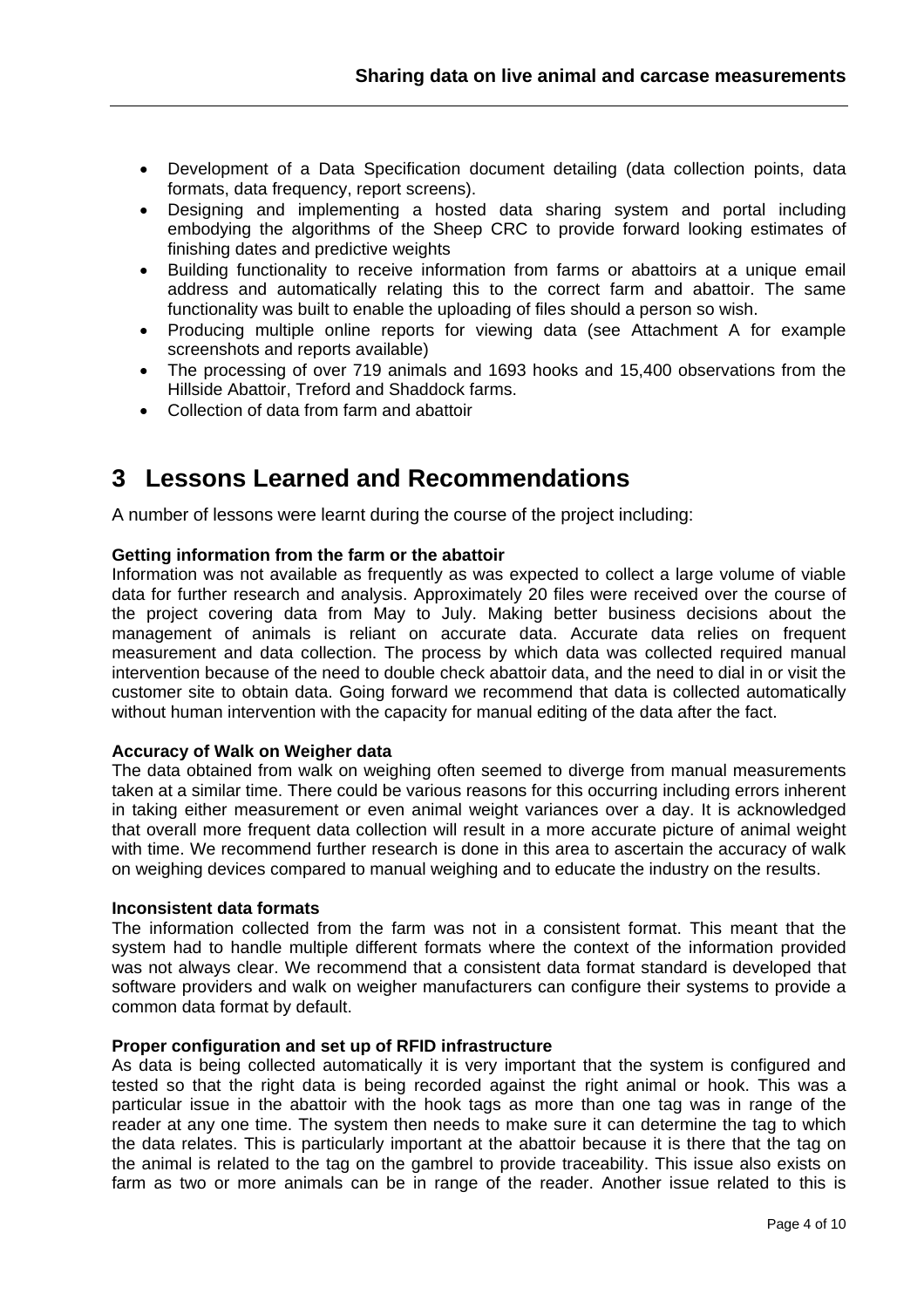- Development of a Data Specification document detailing (data collection points, data formats, data frequency, report screens).
- Designing and implementing a hosted data sharing system and portal including embodying the algorithms of the Sheep CRC to provide forward looking estimates of finishing dates and predictive weights
- Building functionality to receive information from farms or abattoirs at a unique email address and automatically relating this to the correct farm and abattoir. The same functionality was built to enable the uploading of files should a person so wish.
- Producing multiple online reports for viewing data (see Attachment A for example screenshots and reports available)
- The processing of over 719 animals and 1693 hooks and 15,400 observations from the Hillside Abattoir, Treford and Shaddock farms.
- Collection of data from farm and abattoir

## **3 Lessons Learned and Recommendations**

A number of lessons were learnt during the course of the project including:

#### **Getting information from the farm or the abattoir**

Information was not available as frequently as was expected to collect a large volume of viable data for further research and analysis. Approximately 20 files were received over the course of the project covering data from May to July. Making better business decisions about the management of animals is reliant on accurate data. Accurate data relies on frequent measurement and data collection. The process by which data was collected required manual intervention because of the need to double check abattoir data, and the need to dial in or visit the customer site to obtain data. Going forward we recommend that data is collected automatically without human intervention with the capacity for manual editing of the data after the fact.

#### **Accuracy of Walk on Weigher data**

The data obtained from walk on weighing often seemed to diverge from manual measurements taken at a similar time. There could be various reasons for this occurring including errors inherent in taking either measurement or even animal weight variances over a day. It is acknowledged that overall more frequent data collection will result in a more accurate picture of animal weight with time. We recommend further research is done in this area to ascertain the accuracy of walk on weighing devices compared to manual weighing and to educate the industry on the results.

#### **Inconsistent data formats**

The information collected from the farm was not in a consistent format. This meant that the system had to handle multiple different formats where the context of the information provided was not always clear. We recommend that a consistent data format standard is developed that software providers and walk on weigher manufacturers can configure their systems to provide a common data format by default.

#### **Proper configuration and set up of RFID infrastructure**

As data is being collected automatically it is very important that the system is configured and tested so that the right data is being recorded against the right animal or hook. This was a particular issue in the abattoir with the hook tags as more than one tag was in range of the reader at any one time. The system then needs to make sure it can determine the tag to which the data relates. This is particularly important at the abattoir because it is there that the tag on the animal is related to the tag on the gambrel to provide traceability. This issue also exists on farm as two or more animals can be in range of the reader. Another issue related to this is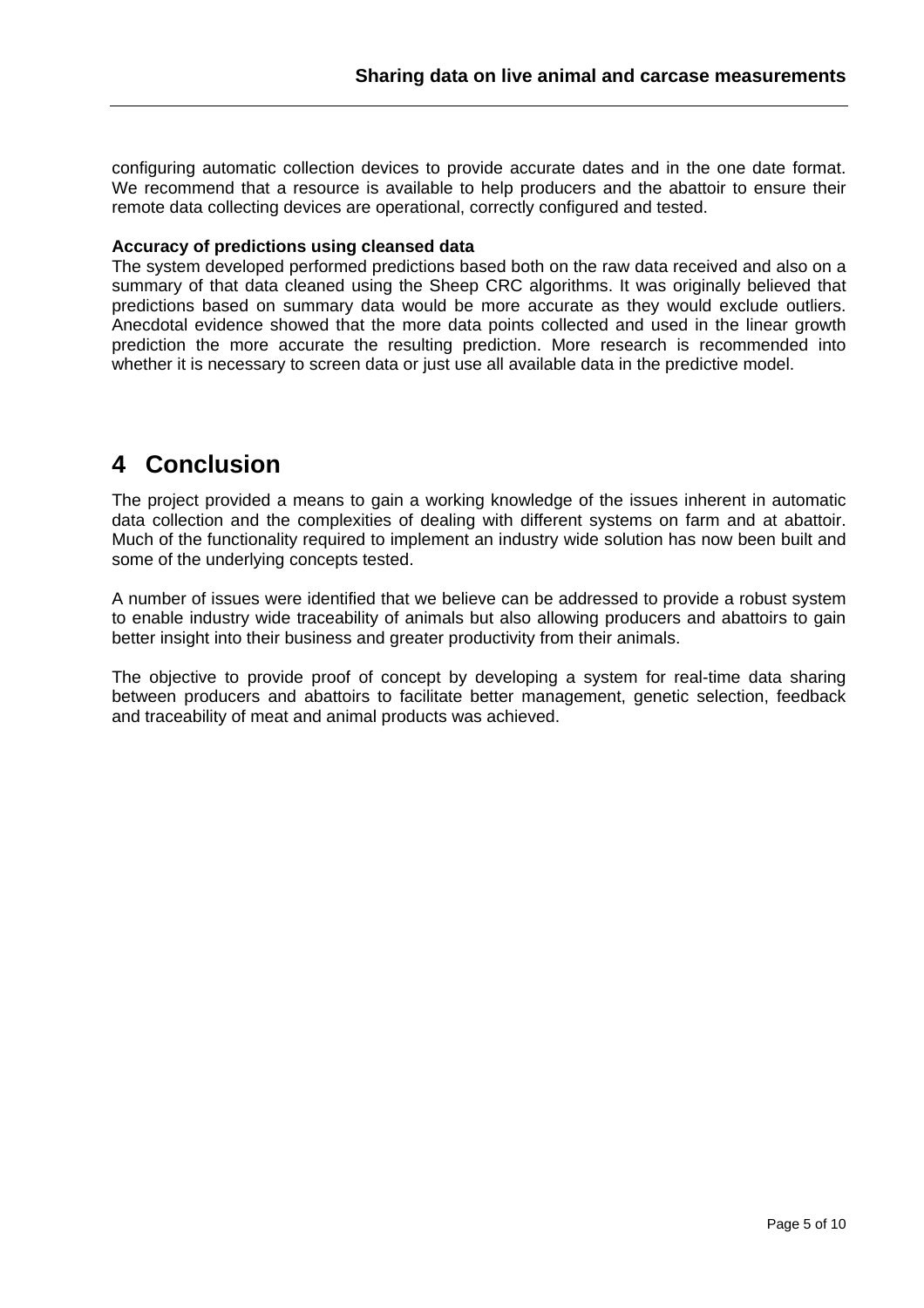configuring automatic collection devices to provide accurate dates and in the one date format. We recommend that a resource is available to help producers and the abattoir to ensure their remote data collecting devices are operational, correctly configured and tested.

#### **Accuracy of predictions using cleansed data**

The system developed performed predictions based both on the raw data received and also on a summary of that data cleaned using the Sheep CRC algorithms. It was originally believed that predictions based on summary data would be more accurate as they would exclude outliers. Anecdotal evidence showed that the more data points collected and used in the linear growth prediction the more accurate the resulting prediction. More research is recommended into whether it is necessary to screen data or just use all available data in the predictive model.

## **4 Conclusion**

The project provided a means to gain a working knowledge of the issues inherent in automatic data collection and the complexities of dealing with different systems on farm and at abattoir. Much of the functionality required to implement an industry wide solution has now been built and some of the underlying concepts tested.

A number of issues were identified that we believe can be addressed to provide a robust system to enable industry wide traceability of animals but also allowing producers and abattoirs to gain better insight into their business and greater productivity from their animals.

The objective to provide proof of concept by developing a system for real-time data sharing between producers and abattoirs to facilitate better management, genetic selection, feedback and traceability of meat and animal products was achieved.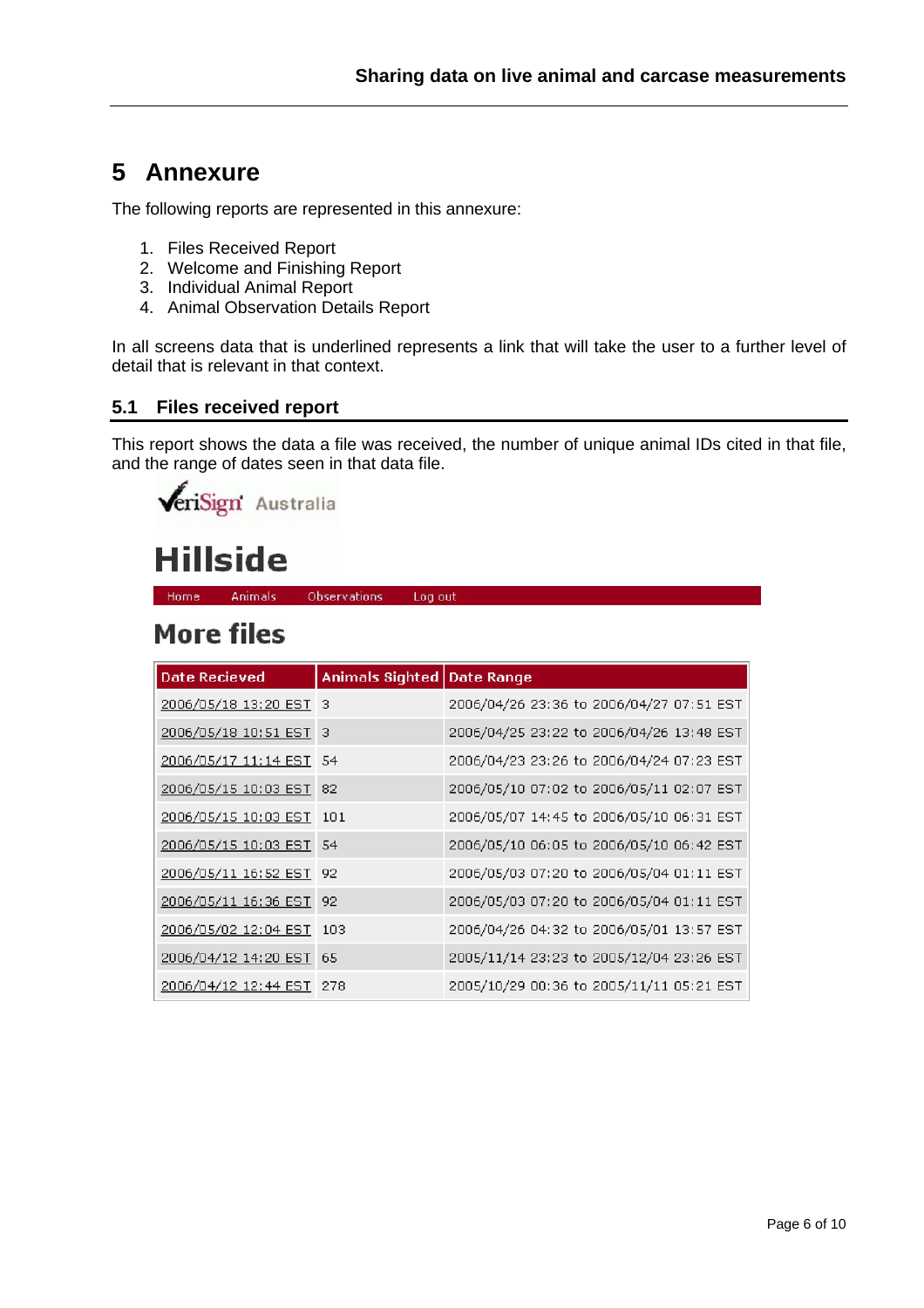## **5 Annexure**

The following reports are represented in this annexure:

- 1. Files Received Report
- 2. Welcome and Finishing Report
- 3. Individual Animal Report
- 4. Animal Observation Details Report

In all screens data that is underlined represents a link that will take the user to a further level of detail that is relevant in that context.

#### **5.1 Files received report**

This report shows the data a file was received, the number of unique animal IDs cited in that file, and the range of dates seen in that data file.

**VeriSign** Australia

# **Hillside**

Animals Home Observations Log out

# **More files**

| Date Recieved            | Animals Sighted   Date Range |                                          |
|--------------------------|------------------------------|------------------------------------------|
| 2006/05/18 13:20 EST 3   |                              | 2006/04/26 23:36 to 2006/04/27 07:51 EST |
| 2006/05/18 10:51 EST 3   |                              | 2006/04/25 23:22 to 2006/04/26 13:48 EST |
| 2006/05/17 11:14 EST 54  |                              | 2006/04/23 23:26 to 2006/04/24 07:23 EST |
| 2006/05/15 10:03 EST 82  |                              | 2006/05/10 07:02 to 2006/05/11 02:07 EST |
| 2006/05/15 10:03 EST 101 |                              | 2006/05/07 14:45 to 2006/05/10 06:31 EST |
| 2006/05/15 10:03 EST 54  |                              | 2006/05/10 06:05 to 2006/05/10 06:42 EST |
| 2006/05/11 16:52 EST 92  |                              | 2006/05/03 07:20 to 2006/05/04 01:11 EST |
| 2006/05/11 16:36 EST 92  |                              | 2006/05/03 07:20 to 2006/05/04 01:11 EST |
| 2006/05/02 12:04 EST 103 |                              | 2006/04/26 04:32 to 2006/05/01 13:57 EST |
| 2006/04/12 14:20 EST 65  |                              | 2005/11/14 23:23 to 2005/12/04 23:26 EST |
| 2006/04/12 12:44 EST 278 |                              | 2005/10/29 00:36 to 2005/11/11 05:21 EST |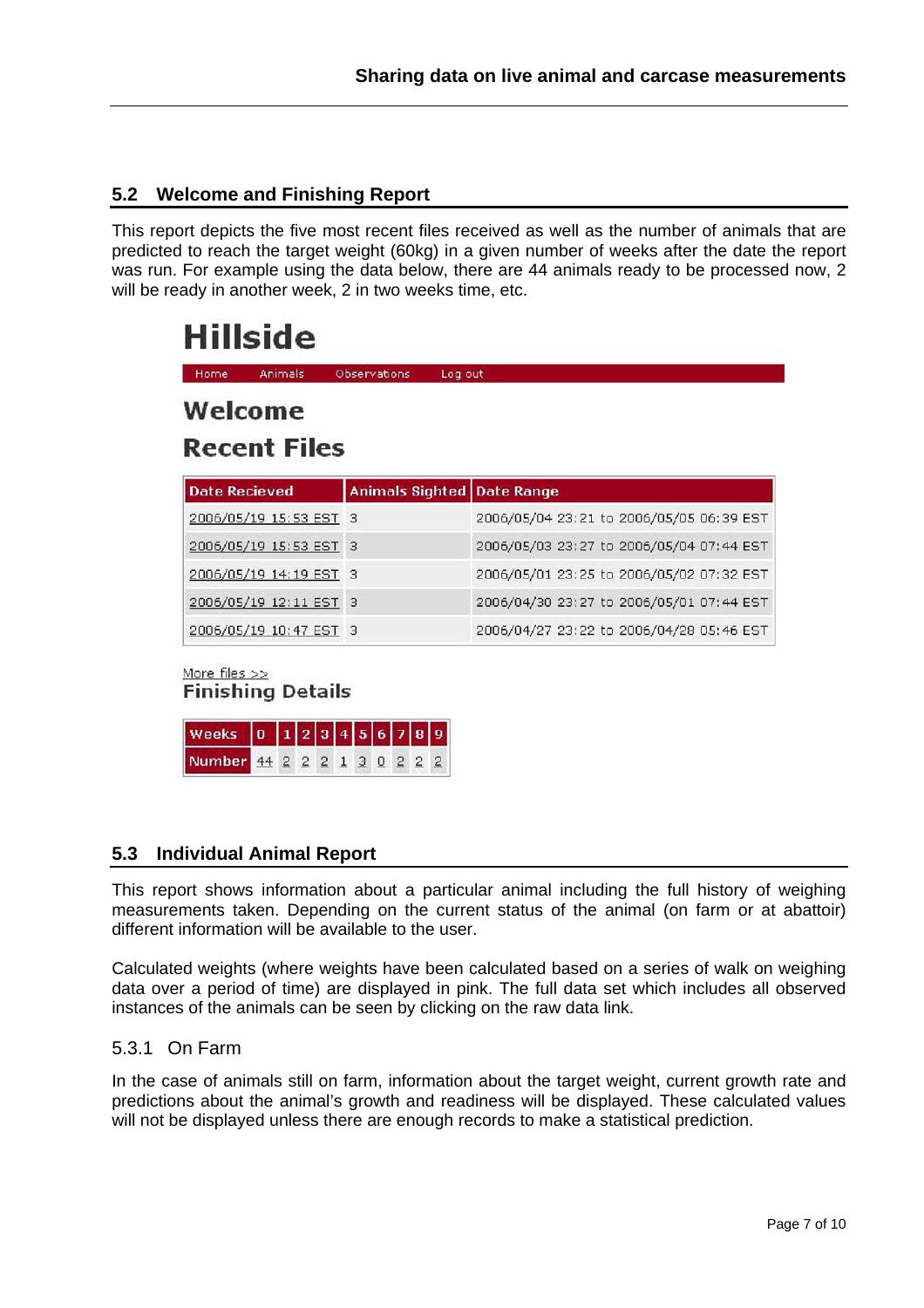#### **5.2 Welcome and Finishing Report**

This report depicts the five most recent files received as well as the number of animals that are predicted to reach the target weight (60kg) in a given number of weeks after the date the report was run. For example using the data below, there are 44 animals ready to be processed now, 2 will be ready in another week, 2 in two weeks time, etc.

# **Hillside**

| Home                    | Animals                | <b>Observations</b><br>Log out    |                                          |  |  |  |
|-------------------------|------------------------|-----------------------------------|------------------------------------------|--|--|--|
| Welcome<br>Recent Files |                        |                                   |                                          |  |  |  |
| <b>Date Recieved</b>    |                        | <b>Animals Sighted Date Range</b> |                                          |  |  |  |
|                         | 2006/05/19 15:53 EST 3 |                                   | 2006/05/04 23:21 to 2006/05/05 06:39 EST |  |  |  |
|                         | 2006/05/19 15:53 EST 3 |                                   | 2006/05/03 23:27 to 2006/05/04 07:44 EST |  |  |  |
|                         | 2006/05/19 14:19 EST 3 |                                   | 2006/05/01 23:25 to 2006/05/02 07:32 EST |  |  |  |
|                         | 2006/05/19 12:11 EST 3 |                                   | 2006/04/30 23:27 to 2006/05/01 07:44 EST |  |  |  |
|                         | 2006/05/19 10:47 EST 3 |                                   | 2006/04/27 23:22 to 2006/04/28 05:46 EST |  |  |  |

More files  $>>$ 

**Finishing Details** 

| Weeks $0$ $1$ $2$ $3$ $4$ $5$ $6$ $7$ $8$ $9$ |  |  |  |  |  |
|-----------------------------------------------|--|--|--|--|--|
| Number 44 2 2 2 1 3 0 2 2 2                   |  |  |  |  |  |

#### **5.3 Individual Animal Report**

This report shows information about a particular animal including the full history of weighing measurements taken. Depending on the current status of the animal (on farm or at abattoir) different information will be available to the user.

Calculated weights (where weights have been calculated based on a series of walk on weighing data over a period of time) are displayed in pink. The full data set which includes all observed instances of the animals can be seen by clicking on the raw data link.

#### 5.3.1 On Farm

In the case of animals still on farm, information about the target weight, current growth rate and predictions about the animal's growth and readiness will be displayed. These calculated values will not be displayed unless there are enough records to make a statistical prediction.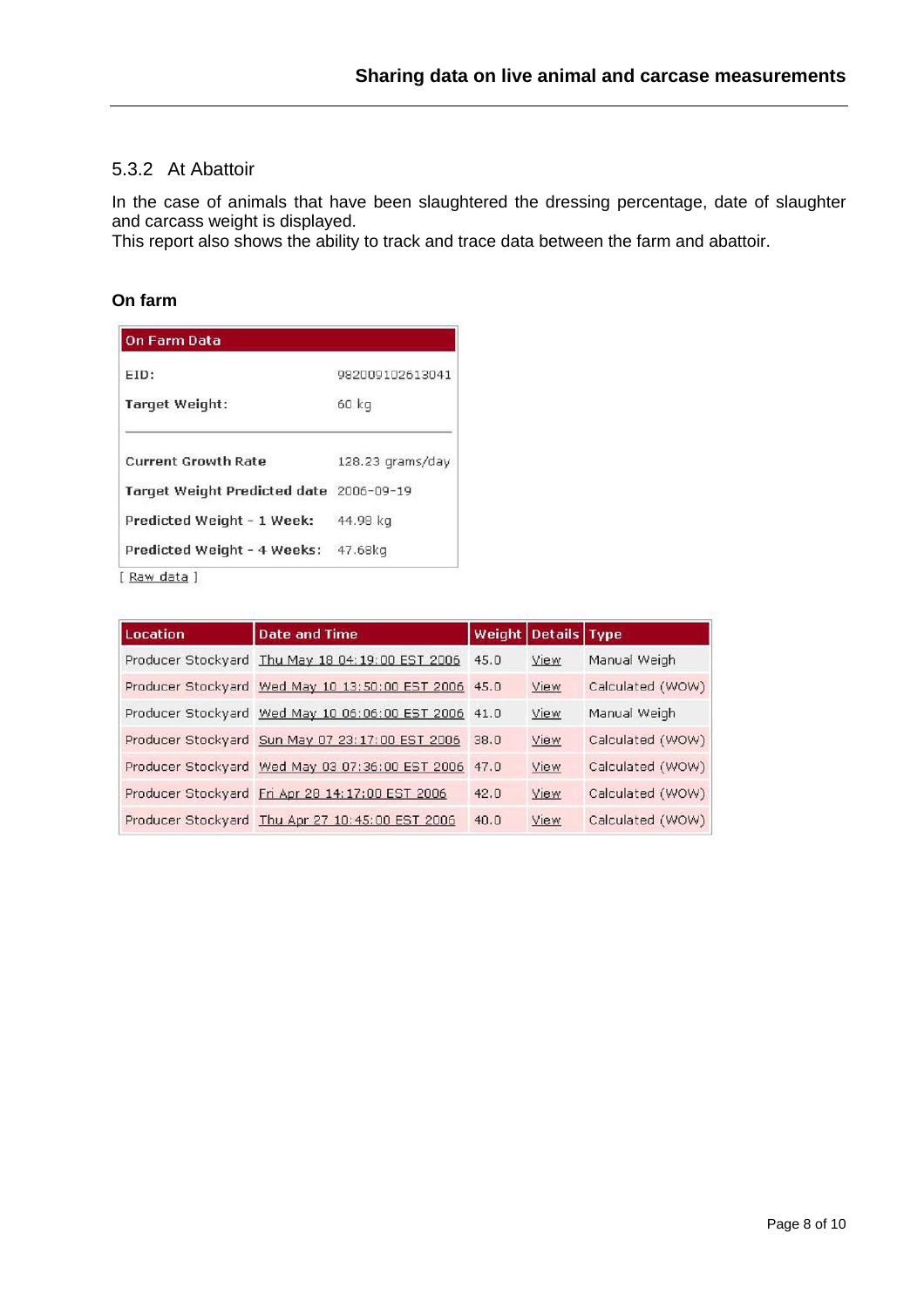#### 5.3.2 At Abattoir

In the case of animals that have been slaughtered the dressing percentage, date of slaughter and carcass weight is displayed.

This report also shows the ability to track and trace data between the farm and abattoir.

#### **On farm**

| 982009102613041                         |
|-----------------------------------------|
| 60 kg                                   |
| 128.23 grams/day                        |
| Target Weight Predicted date 2006-09-19 |
| 44.98 kg                                |
| Predicted Weight - 4 Weeks:<br>47.68kg  |
|                                         |

| Location | <b>Date and Time</b>                                 |      | Weight Details Type |                  |
|----------|------------------------------------------------------|------|---------------------|------------------|
|          | Producer Stockyard Thu May 18 04:19:00 EST 2006      | 45.0 | View                | Manual Weigh     |
|          | Producer Stockyard Wed May 10 13:50:00 EST 2006 45.0 |      | View                | Calculated (WOW) |
|          | Producer Stockyard Wed May 10 06:06:00 EST 2006 41.0 |      | View                | Manual Weigh     |
|          | Producer Stockyard Sun May 07 23:17:00 EST 2006      | 38.0 | View                | Calculated (WOW) |
|          | Producer Stockyard Wed May 03 07:36:00 EST 2006      | 47.0 | View                | Calculated (WOW) |
|          | Producer Stockyard Fri Apr 28 14:17:00 EST 2006      | 42.0 | View                | Calculated (WOW) |
|          | Producer Stockyard Thu Apr 27 10:45:00 EST 2006      | 40.0 | View                | Calculated (WOW) |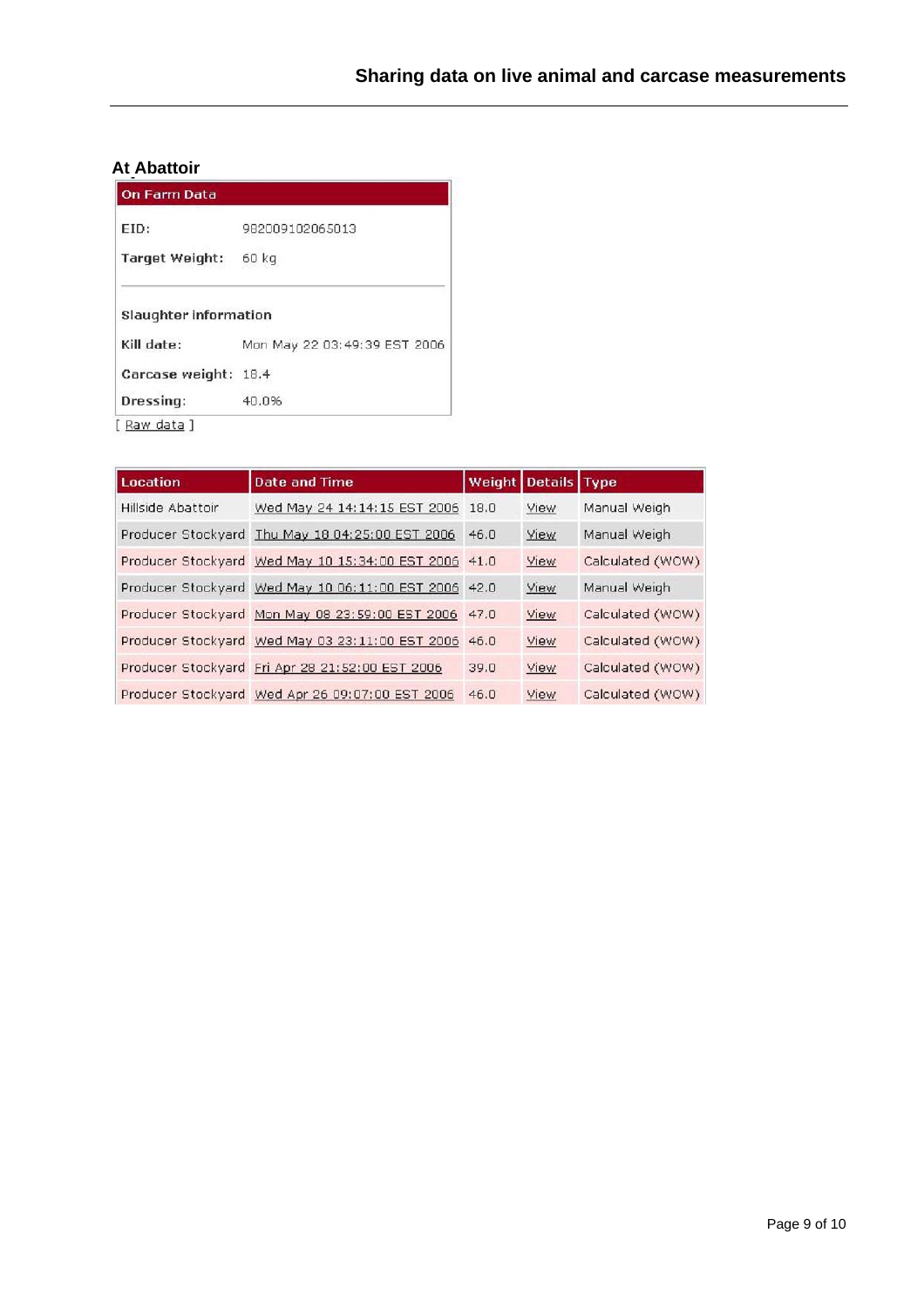## **At Abattoir**

| EID:                                       | 982009102065013              |
|--------------------------------------------|------------------------------|
| Target Weight:                             | 60 kg                        |
|                                            |                              |
|                                            |                              |
| <b>Slaughter information</b><br>Kill date: | Mon May 22 03:49:39 EST 2006 |
| Carcase weight:                            | 18.4                         |

| <b>Location</b>   | <b>Date and Time</b>                                 |      | Weight Details Type |                  |
|-------------------|------------------------------------------------------|------|---------------------|------------------|
| Hillside Abattoir | Wed May 24 14:14:15 EST 2006                         | 18.0 | View                | Manual Weigh     |
|                   | Producer Stockyard Thu May 18 04:25:00 EST 2006      | 46.0 | View                | Manual Weigh     |
|                   | Producer Stockyard Wed May 10 15:34:00 EST 2006 41.0 |      | View                | Calculated (WOW) |
|                   | Producer Stockyard Wed May 10 06:11:00 EST 2006 42.0 |      | View                | Manual Weigh     |
|                   | Producer Stockyard Mon May 08 23:59:00 EST 2006 47.0 |      | View                | Calculated (WOW) |
|                   | Producer Stockyard Wed May 03 23:11:00 EST 2006 46.0 |      | View                | Calculated (WOW) |
|                   | Producer Stockyard Fri Apr 28 21:52:00 EST 2006      | 39.0 | View                | Calculated (WOW) |
|                   | Producer Stockyard Wed Apr 26 09:07:00 EST 2006      | 46.0 | View                | Calculated (WOW) |